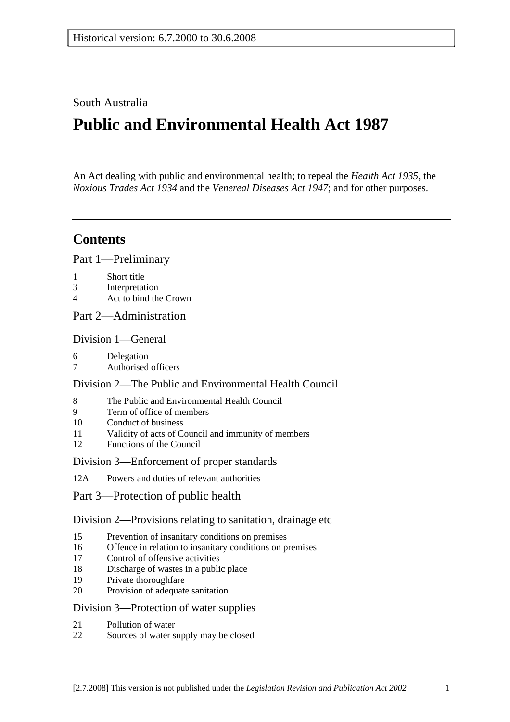South Australia

# **Public and Environmental Health Act 1987**

An Act dealing with public and environmental health; to repeal the *Health Act 1935*, the *Noxious Trades Act 1934* and the *Venereal Diseases Act 1947*; and for other purposes.

## **Contents**

Part 1—Preliminary

- 1 Short title
- 3 Interpretation
- 4 Act to bind the Crown
- Part 2—Administration

### Division 1—General

- 6 Delegation
- 7 Authorised officers

### Division 2—The Public and Environmental Health Council

- 8 The Public and Environmental Health Council
- 9 Term of office of members
- 10 Conduct of business
- 11 Validity of acts of Council and immunity of members
- 12 Functions of the Council

### Division 3—Enforcement of proper standards

- 12A Powers and duties of relevant authorities
- Part 3—Protection of public health

### Division 2—Provisions relating to sanitation, drainage etc

- 15 Prevention of insanitary conditions on premises
- 16 Offence in relation to insanitary conditions on premises
- 17 Control of offensive activities
- 18 Discharge of wastes in a public place
- 19 Private thoroughfare
- 20 Provision of adequate sanitation

### Division 3—Protection of water supplies

- 21 Pollution of water
- 22 Sources of water supply may be closed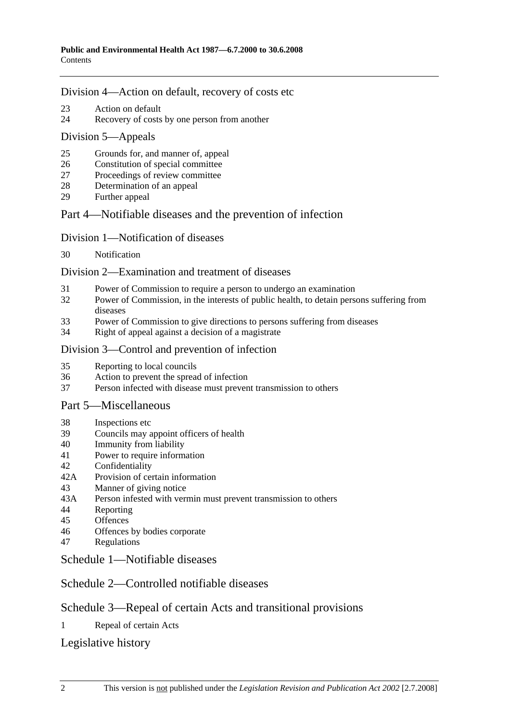### Division 4—Action on default, recovery of costs etc

- 23 Action on default
- 24 Recovery of costs by one person from another

### Division 5—Appeals

- 25 Grounds for, and manner of, appeal
- 26 Constitution of special committee
- 27 Proceedings of review committee
- 28 Determination of an appeal
- 29 Further appeal

### Part 4—Notifiable diseases and the prevention of infection

### Division 1—Notification of diseases

30 Notification

### Division 2—Examination and treatment of diseases

- 31 Power of Commission to require a person to undergo an examination
- 32 Power of Commission, in the interests of public health, to detain persons suffering from diseases
- 33 Power of Commission to give directions to persons suffering from diseases
- 34 Right of appeal against a decision of a magistrate

### Division 3—Control and prevention of infection

- 35 Reporting to local councils
- 36 Action to prevent the spread of infection
- 37 Person infected with disease must prevent transmission to others

### Part 5—Miscellaneous

- 38 Inspections etc
- 39 Councils may appoint officers of health
- 40 Immunity from liability
- 41 Power to require information
- 42 Confidentiality
- 42A Provision of certain information
- 43 Manner of giving notice
- 43A Person infested with vermin must prevent transmission to others
- 44 Reporting
- 45 Offences
- 46 Offences by bodies corporate
- 47 Regulations

### Schedule 1—Notifiable diseases

## Schedule 2—Controlled notifiable diseases

## Schedule 3—Repeal of certain Acts and transitional provisions

1 Repeal of certain Acts

## Legislative history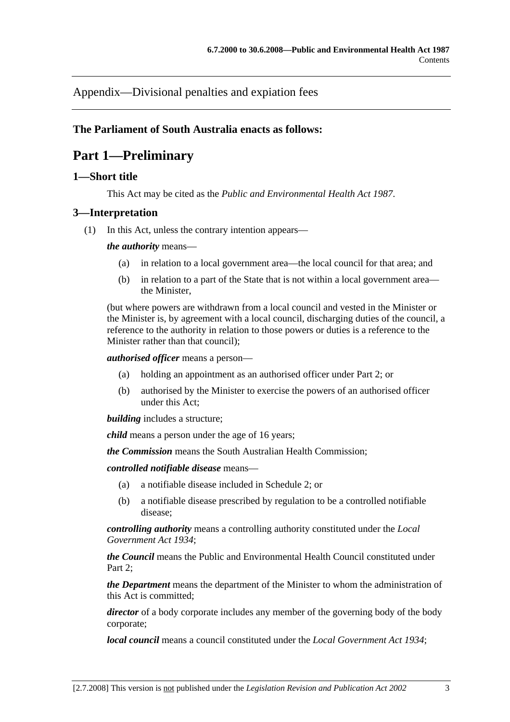Appendix—Divisional penalties and expiation fees

### **The Parliament of South Australia enacts as follows:**

## **Part 1—Preliminary**

### **1—Short title**

This Act may be cited as the *Public and Environmental Health Act 1987*.

### **3—Interpretation**

(1) In this Act, unless the contrary intention appears—

*the authority* means—

- (a) in relation to a local government area—the local council for that area; and
- (b) in relation to a part of the State that is not within a local government area the Minister,

(but where powers are withdrawn from a local council and vested in the Minister or the Minister is, by agreement with a local council, discharging duties of the council, a reference to the authority in relation to those powers or duties is a reference to the Minister rather than that council);

*authorised officer* means a person—

- (a) holding an appointment as an authorised officer under Part 2; or
- (b) authorised by the Minister to exercise the powers of an authorised officer under this Act;

*building* includes a structure;

*child* means a person under the age of 16 years;

*the Commission* means the South Australian Health Commission;

*controlled notifiable disease* means—

- (a) a notifiable disease included in Schedule 2; or
- (b) a notifiable disease prescribed by regulation to be a controlled notifiable disease;

*controlling authority* means a controlling authority constituted under the *Local Government Act 1934*;

*the Council* means the Public and Environmental Health Council constituted under Part 2;

*the Department* means the department of the Minister to whom the administration of this Act is committed;

*director* of a body corporate includes any member of the governing body of the body corporate;

*local council* means a council constituted under the *Local Government Act 1934*;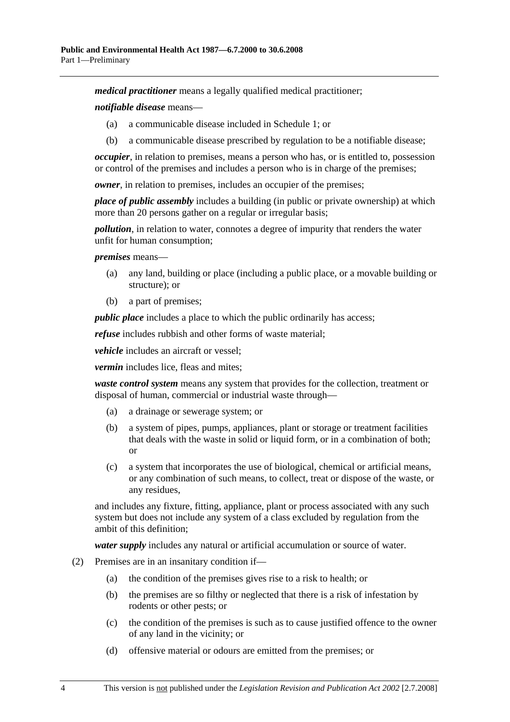*medical practitioner* means a legally qualified medical practitioner;

*notifiable disease* means—

- (a) a communicable disease included in Schedule 1; or
- (b) a communicable disease prescribed by regulation to be a notifiable disease;

*occupier*, in relation to premises, means a person who has, or is entitled to, possession or control of the premises and includes a person who is in charge of the premises;

*owner*, in relation to premises, includes an occupier of the premises;

*place of public assembly* includes a building (in public or private ownership) at which more than 20 persons gather on a regular or irregular basis;

*pollution*, in relation to water, connotes a degree of impurity that renders the water unfit for human consumption;

*premises* means—

- (a) any land, building or place (including a public place, or a movable building or structure); or
- (b) a part of premises;

*public place* includes a place to which the public ordinarily has access;

*refuse* includes rubbish and other forms of waste material;

*vehicle* includes an aircraft or vessel;

*vermin* includes lice, fleas and mites;

*waste control system* means any system that provides for the collection, treatment or disposal of human, commercial or industrial waste through—

- (a) a drainage or sewerage system; or
- (b) a system of pipes, pumps, appliances, plant or storage or treatment facilities that deals with the waste in solid or liquid form, or in a combination of both; or
- (c) a system that incorporates the use of biological, chemical or artificial means, or any combination of such means, to collect, treat or dispose of the waste, or any residues,

and includes any fixture, fitting, appliance, plant or process associated with any such system but does not include any system of a class excluded by regulation from the ambit of this definition;

*water supply* includes any natural or artificial accumulation or source of water.

- (2) Premises are in an insanitary condition if—
	- (a) the condition of the premises gives rise to a risk to health; or
	- (b) the premises are so filthy or neglected that there is a risk of infestation by rodents or other pests; or
	- (c) the condition of the premises is such as to cause justified offence to the owner of any land in the vicinity; or
	- (d) offensive material or odours are emitted from the premises; or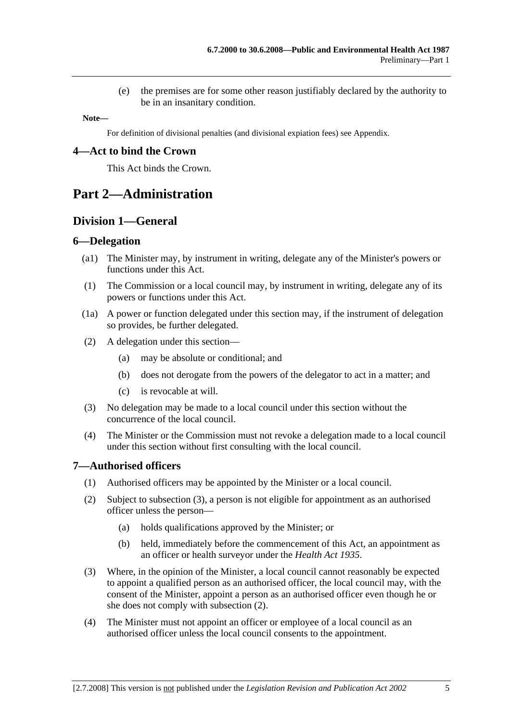(e) the premises are for some other reason justifiably declared by the authority to be in an insanitary condition.

**Note—** 

For definition of divisional penalties (and divisional expiation fees) see Appendix.

### **4—Act to bind the Crown**

This Act binds the Crown.

## **Part 2—Administration**

## **Division 1—General**

### **6—Delegation**

- (a1) The Minister may, by instrument in writing, delegate any of the Minister's powers or functions under this Act.
- (1) The Commission or a local council may, by instrument in writing, delegate any of its powers or functions under this Act.
- (1a) A power or function delegated under this section may, if the instrument of delegation so provides, be further delegated.
- (2) A delegation under this section—
	- (a) may be absolute or conditional; and
	- (b) does not derogate from the powers of the delegator to act in a matter; and
	- (c) is revocable at will.
- (3) No delegation may be made to a local council under this section without the concurrence of the local council.
- (4) The Minister or the Commission must not revoke a delegation made to a local council under this section without first consulting with the local council.

### **7—Authorised officers**

- (1) Authorised officers may be appointed by the Minister or a local council.
- (2) Subject to subsection (3), a person is not eligible for appointment as an authorised officer unless the person—
	- (a) holds qualifications approved by the Minister; or
	- (b) held, immediately before the commencement of this Act, an appointment as an officer or health surveyor under the *Health Act 1935*.
- (3) Where, in the opinion of the Minister, a local council cannot reasonably be expected to appoint a qualified person as an authorised officer, the local council may, with the consent of the Minister, appoint a person as an authorised officer even though he or she does not comply with subsection (2).
- (4) The Minister must not appoint an officer or employee of a local council as an authorised officer unless the local council consents to the appointment.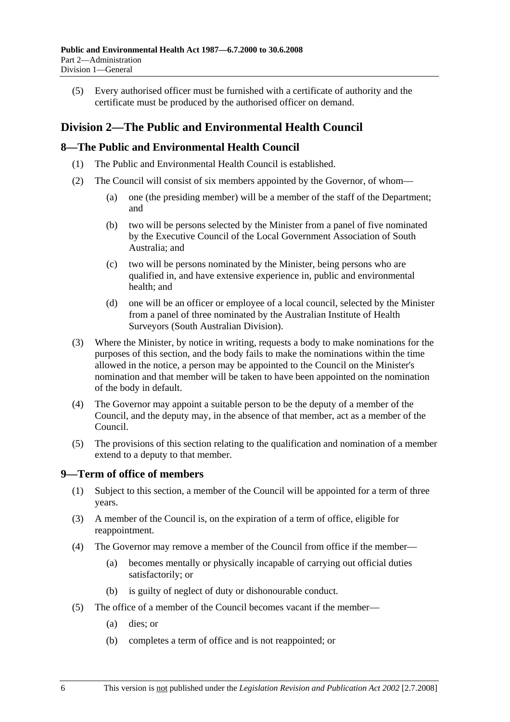(5) Every authorised officer must be furnished with a certificate of authority and the certificate must be produced by the authorised officer on demand.

## **Division 2—The Public and Environmental Health Council**

### **8—The Public and Environmental Health Council**

- (1) The Public and Environmental Health Council is established.
- (2) The Council will consist of six members appointed by the Governor, of whom—
	- (a) one (the presiding member) will be a member of the staff of the Department; and
	- (b) two will be persons selected by the Minister from a panel of five nominated by the Executive Council of the Local Government Association of South Australia; and
	- (c) two will be persons nominated by the Minister, being persons who are qualified in, and have extensive experience in, public and environmental health; and
	- (d) one will be an officer or employee of a local council, selected by the Minister from a panel of three nominated by the Australian Institute of Health Surveyors (South Australian Division).
- (3) Where the Minister, by notice in writing, requests a body to make nominations for the purposes of this section, and the body fails to make the nominations within the time allowed in the notice, a person may be appointed to the Council on the Minister's nomination and that member will be taken to have been appointed on the nomination of the body in default.
- (4) The Governor may appoint a suitable person to be the deputy of a member of the Council, and the deputy may, in the absence of that member, act as a member of the Council.
- (5) The provisions of this section relating to the qualification and nomination of a member extend to a deputy to that member.

### **9—Term of office of members**

- (1) Subject to this section, a member of the Council will be appointed for a term of three years.
- (3) A member of the Council is, on the expiration of a term of office, eligible for reappointment.
- (4) The Governor may remove a member of the Council from office if the member—
	- (a) becomes mentally or physically incapable of carrying out official duties satisfactorily; or
	- (b) is guilty of neglect of duty or dishonourable conduct.
- (5) The office of a member of the Council becomes vacant if the member—
	- (a) dies; or
	- (b) completes a term of office and is not reappointed; or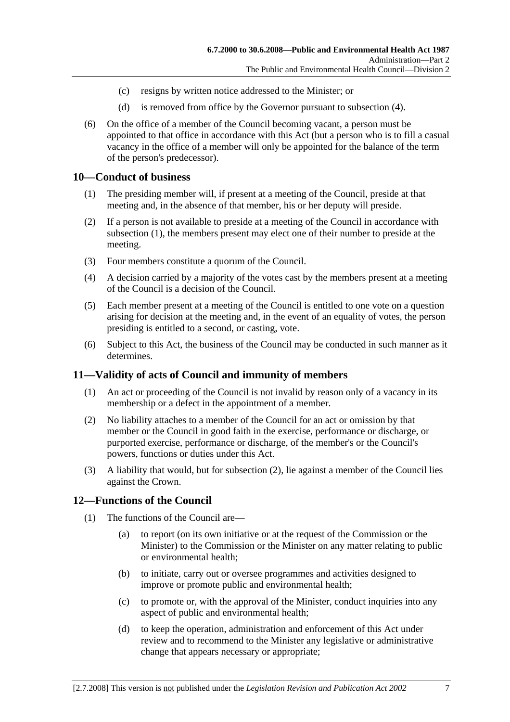- (c) resigns by written notice addressed to the Minister; or
- (d) is removed from office by the Governor pursuant to subsection (4).
- (6) On the office of a member of the Council becoming vacant, a person must be appointed to that office in accordance with this Act (but a person who is to fill a casual vacancy in the office of a member will only be appointed for the balance of the term of the person's predecessor).

#### **10—Conduct of business**

- (1) The presiding member will, if present at a meeting of the Council, preside at that meeting and, in the absence of that member, his or her deputy will preside.
- (2) If a person is not available to preside at a meeting of the Council in accordance with subsection (1), the members present may elect one of their number to preside at the meeting.
- (3) Four members constitute a quorum of the Council.
- (4) A decision carried by a majority of the votes cast by the members present at a meeting of the Council is a decision of the Council.
- (5) Each member present at a meeting of the Council is entitled to one vote on a question arising for decision at the meeting and, in the event of an equality of votes, the person presiding is entitled to a second, or casting, vote.
- (6) Subject to this Act, the business of the Council may be conducted in such manner as it determines.

### **11—Validity of acts of Council and immunity of members**

- (1) An act or proceeding of the Council is not invalid by reason only of a vacancy in its membership or a defect in the appointment of a member.
- (2) No liability attaches to a member of the Council for an act or omission by that member or the Council in good faith in the exercise, performance or discharge, or purported exercise, performance or discharge, of the member's or the Council's powers, functions or duties under this Act.
- (3) A liability that would, but for subsection (2), lie against a member of the Council lies against the Crown.

### **12—Functions of the Council**

- (1) The functions of the Council are—
	- (a) to report (on its own initiative or at the request of the Commission or the Minister) to the Commission or the Minister on any matter relating to public or environmental health;
	- (b) to initiate, carry out or oversee programmes and activities designed to improve or promote public and environmental health;
	- (c) to promote or, with the approval of the Minister, conduct inquiries into any aspect of public and environmental health;
	- (d) to keep the operation, administration and enforcement of this Act under review and to recommend to the Minister any legislative or administrative change that appears necessary or appropriate;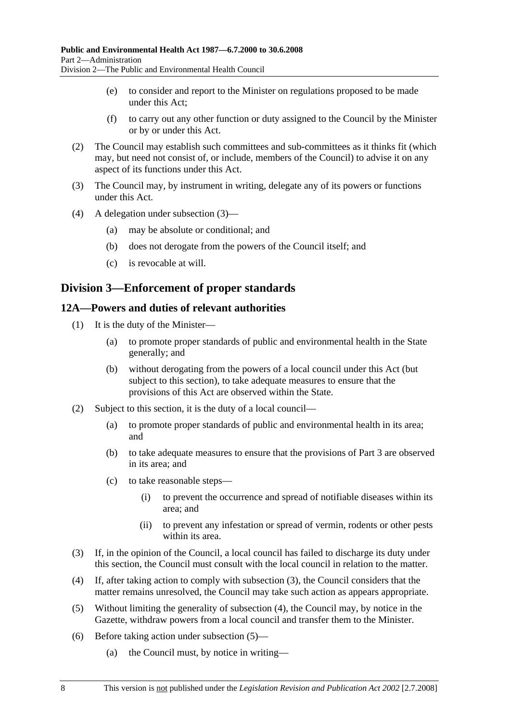- (e) to consider and report to the Minister on regulations proposed to be made under this Act;
- (f) to carry out any other function or duty assigned to the Council by the Minister or by or under this Act.
- (2) The Council may establish such committees and sub-committees as it thinks fit (which may, but need not consist of, or include, members of the Council) to advise it on any aspect of its functions under this Act.
- (3) The Council may, by instrument in writing, delegate any of its powers or functions under this Act.
- (4) A delegation under subsection (3)—
	- (a) may be absolute or conditional; and
	- (b) does not derogate from the powers of the Council itself; and
	- (c) is revocable at will.

## **Division 3—Enforcement of proper standards**

### **12A—Powers and duties of relevant authorities**

- (1) It is the duty of the Minister—
	- (a) to promote proper standards of public and environmental health in the State generally; and
	- (b) without derogating from the powers of a local council under this Act (but subject to this section), to take adequate measures to ensure that the provisions of this Act are observed within the State.
- (2) Subject to this section, it is the duty of a local council—
	- (a) to promote proper standards of public and environmental health in its area; and
	- (b) to take adequate measures to ensure that the provisions of Part 3 are observed in its area; and
	- (c) to take reasonable steps—
		- (i) to prevent the occurrence and spread of notifiable diseases within its area; and
		- (ii) to prevent any infestation or spread of vermin, rodents or other pests within its area.
- (3) If, in the opinion of the Council, a local council has failed to discharge its duty under this section, the Council must consult with the local council in relation to the matter.
- (4) If, after taking action to comply with subsection (3), the Council considers that the matter remains unresolved, the Council may take such action as appears appropriate.
- (5) Without limiting the generality of subsection (4), the Council may, by notice in the Gazette, withdraw powers from a local council and transfer them to the Minister.
- (6) Before taking action under subsection (5)—
	- (a) the Council must, by notice in writing—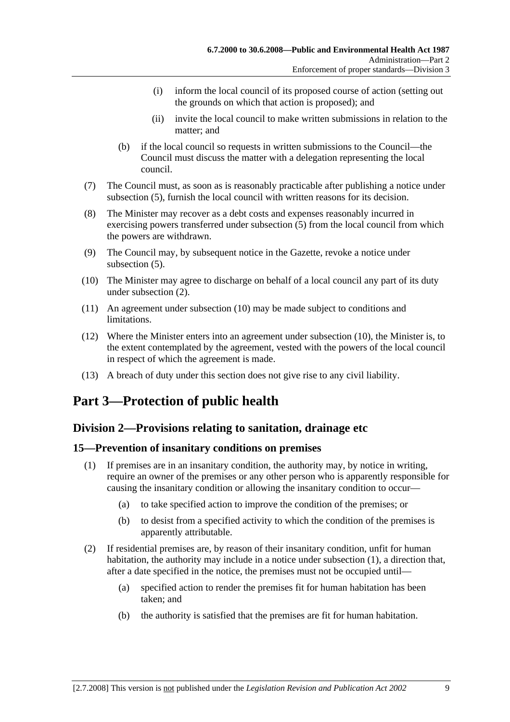- (i) inform the local council of its proposed course of action (setting out the grounds on which that action is proposed); and
- (ii) invite the local council to make written submissions in relation to the matter; and
- (b) if the local council so requests in written submissions to the Council—the Council must discuss the matter with a delegation representing the local council.
- (7) The Council must, as soon as is reasonably practicable after publishing a notice under subsection (5), furnish the local council with written reasons for its decision.
- (8) The Minister may recover as a debt costs and expenses reasonably incurred in exercising powers transferred under subsection (5) from the local council from which the powers are withdrawn.
- (9) The Council may, by subsequent notice in the Gazette, revoke a notice under subsection (5).
- (10) The Minister may agree to discharge on behalf of a local council any part of its duty under subsection (2).
- (11) An agreement under subsection (10) may be made subject to conditions and limitations.
- (12) Where the Minister enters into an agreement under subsection (10), the Minister is, to the extent contemplated by the agreement, vested with the powers of the local council in respect of which the agreement is made.
- (13) A breach of duty under this section does not give rise to any civil liability.

# **Part 3—Protection of public health**

## **Division 2—Provisions relating to sanitation, drainage etc**

### **15—Prevention of insanitary conditions on premises**

- (1) If premises are in an insanitary condition, the authority may, by notice in writing, require an owner of the premises or any other person who is apparently responsible for causing the insanitary condition or allowing the insanitary condition to occur—
	- (a) to take specified action to improve the condition of the premises; or
	- (b) to desist from a specified activity to which the condition of the premises is apparently attributable.
- (2) If residential premises are, by reason of their insanitary condition, unfit for human habitation, the authority may include in a notice under subsection (1), a direction that, after a date specified in the notice, the premises must not be occupied until—
	- (a) specified action to render the premises fit for human habitation has been taken; and
	- (b) the authority is satisfied that the premises are fit for human habitation.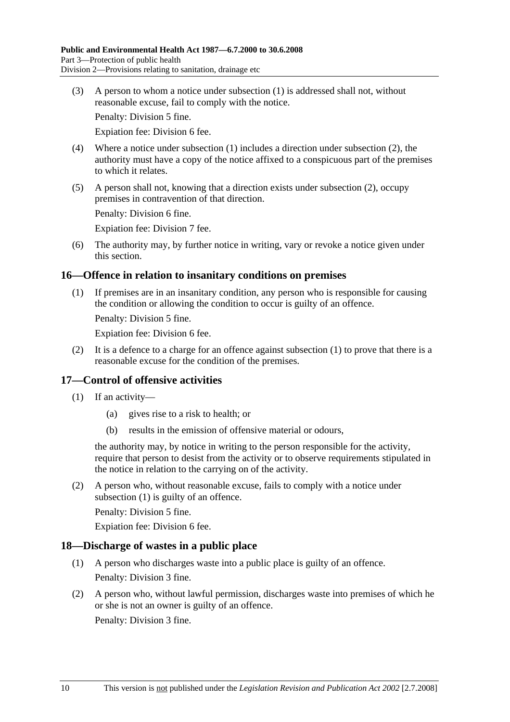(3) A person to whom a notice under subsection (1) is addressed shall not, without reasonable excuse, fail to comply with the notice.

Penalty: Division 5 fine.

Expiation fee: Division 6 fee.

- (4) Where a notice under subsection (1) includes a direction under subsection (2), the authority must have a copy of the notice affixed to a conspicuous part of the premises to which it relates.
- (5) A person shall not, knowing that a direction exists under subsection (2), occupy premises in contravention of that direction.

Penalty: Division 6 fine.

Expiation fee: Division 7 fee.

 (6) The authority may, by further notice in writing, vary or revoke a notice given under this section.

### **16—Offence in relation to insanitary conditions on premises**

 (1) If premises are in an insanitary condition, any person who is responsible for causing the condition or allowing the condition to occur is guilty of an offence.

Penalty: Division 5 fine.

Expiation fee: Division 6 fee.

 (2) It is a defence to a charge for an offence against subsection (1) to prove that there is a reasonable excuse for the condition of the premises.

### **17—Control of offensive activities**

- (1) If an activity—
	- (a) gives rise to a risk to health; or
	- (b) results in the emission of offensive material or odours,

the authority may, by notice in writing to the person responsible for the activity, require that person to desist from the activity or to observe requirements stipulated in the notice in relation to the carrying on of the activity.

 (2) A person who, without reasonable excuse, fails to comply with a notice under subsection (1) is guilty of an offence.

Penalty: Division 5 fine.

Expiation fee: Division 6 fee.

### **18—Discharge of wastes in a public place**

- (1) A person who discharges waste into a public place is guilty of an offence. Penalty: Division 3 fine.
- (2) A person who, without lawful permission, discharges waste into premises of which he or she is not an owner is guilty of an offence.

Penalty: Division 3 fine.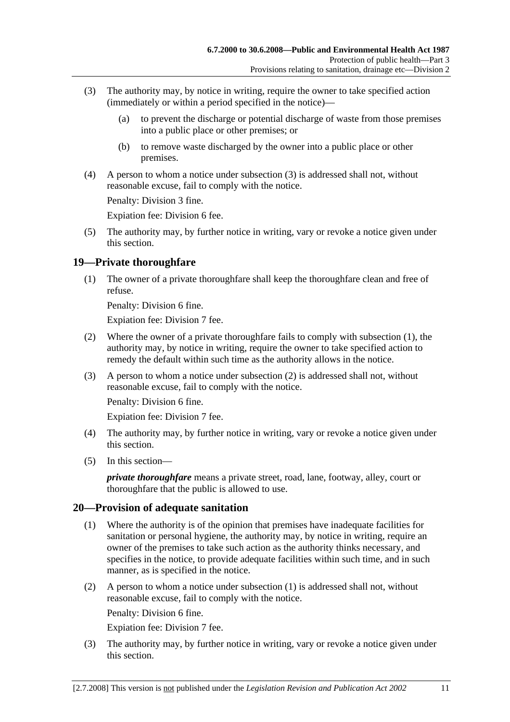- (3) The authority may, by notice in writing, require the owner to take specified action (immediately or within a period specified in the notice)—
	- (a) to prevent the discharge or potential discharge of waste from those premises into a public place or other premises; or
	- (b) to remove waste discharged by the owner into a public place or other premises.
- (4) A person to whom a notice under subsection (3) is addressed shall not, without reasonable excuse, fail to comply with the notice.

Penalty: Division 3 fine.

Expiation fee: Division 6 fee.

 (5) The authority may, by further notice in writing, vary or revoke a notice given under this section.

### **19—Private thoroughfare**

 (1) The owner of a private thoroughfare shall keep the thoroughfare clean and free of refuse.

Penalty: Division 6 fine.

Expiation fee: Division 7 fee.

- (2) Where the owner of a private thoroughfare fails to comply with subsection (1), the authority may, by notice in writing, require the owner to take specified action to remedy the default within such time as the authority allows in the notice.
- (3) A person to whom a notice under subsection (2) is addressed shall not, without reasonable excuse, fail to comply with the notice.

Penalty: Division 6 fine.

Expiation fee: Division 7 fee.

- (4) The authority may, by further notice in writing, vary or revoke a notice given under this section.
- (5) In this section—

*private thoroughfare* means a private street, road, lane, footway, alley, court or thoroughfare that the public is allowed to use.

### **20—Provision of adequate sanitation**

- (1) Where the authority is of the opinion that premises have inadequate facilities for sanitation or personal hygiene, the authority may, by notice in writing, require an owner of the premises to take such action as the authority thinks necessary, and specifies in the notice, to provide adequate facilities within such time, and in such manner, as is specified in the notice.
- (2) A person to whom a notice under subsection (1) is addressed shall not, without reasonable excuse, fail to comply with the notice.

Penalty: Division 6 fine.

Expiation fee: Division 7 fee.

 (3) The authority may, by further notice in writing, vary or revoke a notice given under this section.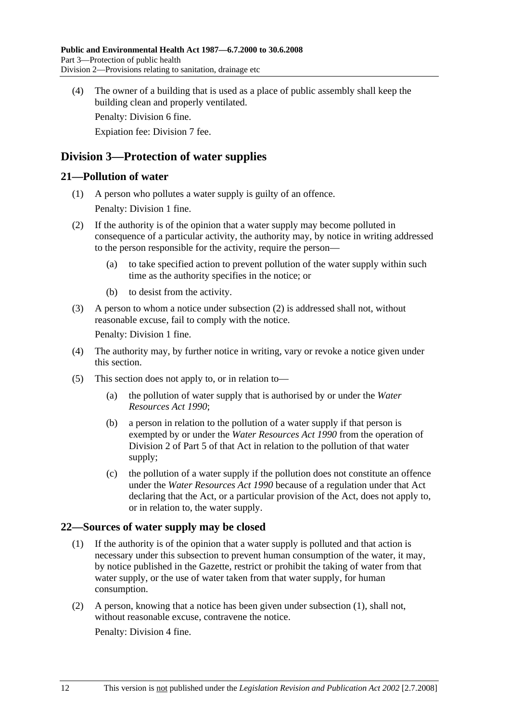(4) The owner of a building that is used as a place of public assembly shall keep the building clean and properly ventilated.

Penalty: Division 6 fine.

Expiation fee: Division 7 fee.

## **Division 3—Protection of water supplies**

### **21—Pollution of water**

- (1) A person who pollutes a water supply is guilty of an offence. Penalty: Division 1 fine.
- (2) If the authority is of the opinion that a water supply may become polluted in consequence of a particular activity, the authority may, by notice in writing addressed to the person responsible for the activity, require the person—
	- (a) to take specified action to prevent pollution of the water supply within such time as the authority specifies in the notice; or
	- (b) to desist from the activity.
- (3) A person to whom a notice under subsection (2) is addressed shall not, without reasonable excuse, fail to comply with the notice.

Penalty: Division 1 fine.

- (4) The authority may, by further notice in writing, vary or revoke a notice given under this section.
- (5) This section does not apply to, or in relation to—
	- (a) the pollution of water supply that is authorised by or under the *Water Resources Act 1990*;
	- (b) a person in relation to the pollution of a water supply if that person is exempted by or under the *Water Resources Act 1990* from the operation of Division 2 of Part 5 of that Act in relation to the pollution of that water supply;
	- (c) the pollution of a water supply if the pollution does not constitute an offence under the *Water Resources Act 1990* because of a regulation under that Act declaring that the Act, or a particular provision of the Act, does not apply to, or in relation to, the water supply.

### **22—Sources of water supply may be closed**

- (1) If the authority is of the opinion that a water supply is polluted and that action is necessary under this subsection to prevent human consumption of the water, it may, by notice published in the Gazette, restrict or prohibit the taking of water from that water supply, or the use of water taken from that water supply, for human consumption.
- (2) A person, knowing that a notice has been given under subsection (1), shall not, without reasonable excuse, contravene the notice.

Penalty: Division 4 fine.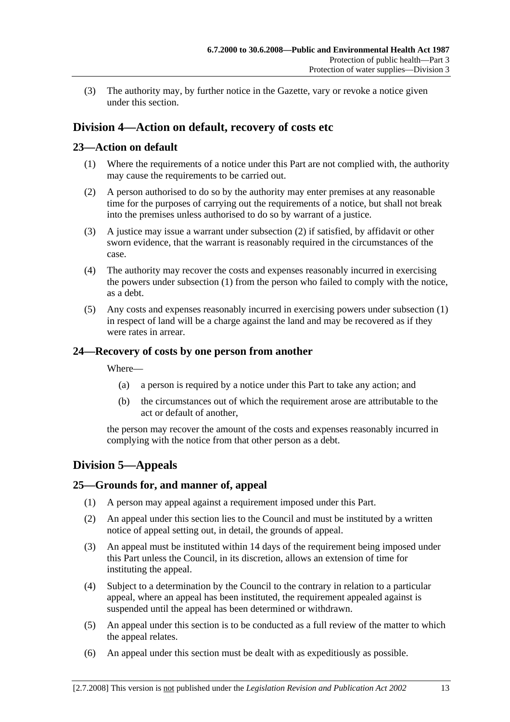(3) The authority may, by further notice in the Gazette, vary or revoke a notice given under this section.

## **Division 4—Action on default, recovery of costs etc**

## **23—Action on default**

- (1) Where the requirements of a notice under this Part are not complied with, the authority may cause the requirements to be carried out.
- (2) A person authorised to do so by the authority may enter premises at any reasonable time for the purposes of carrying out the requirements of a notice, but shall not break into the premises unless authorised to do so by warrant of a justice.
- (3) A justice may issue a warrant under subsection (2) if satisfied, by affidavit or other sworn evidence, that the warrant is reasonably required in the circumstances of the case.
- (4) The authority may recover the costs and expenses reasonably incurred in exercising the powers under subsection (1) from the person who failed to comply with the notice, as a debt.
- (5) Any costs and expenses reasonably incurred in exercising powers under subsection (1) in respect of land will be a charge against the land and may be recovered as if they were rates in arrear.

### **24—Recovery of costs by one person from another**

Where—

- (a) a person is required by a notice under this Part to take any action; and
- (b) the circumstances out of which the requirement arose are attributable to the act or default of another,

the person may recover the amount of the costs and expenses reasonably incurred in complying with the notice from that other person as a debt.

## **Division 5—Appeals**

### **25—Grounds for, and manner of, appeal**

- (1) A person may appeal against a requirement imposed under this Part.
- (2) An appeal under this section lies to the Council and must be instituted by a written notice of appeal setting out, in detail, the grounds of appeal.
- (3) An appeal must be instituted within 14 days of the requirement being imposed under this Part unless the Council, in its discretion, allows an extension of time for instituting the appeal.
- (4) Subject to a determination by the Council to the contrary in relation to a particular appeal, where an appeal has been instituted, the requirement appealed against is suspended until the appeal has been determined or withdrawn.
- (5) An appeal under this section is to be conducted as a full review of the matter to which the appeal relates.
- (6) An appeal under this section must be dealt with as expeditiously as possible.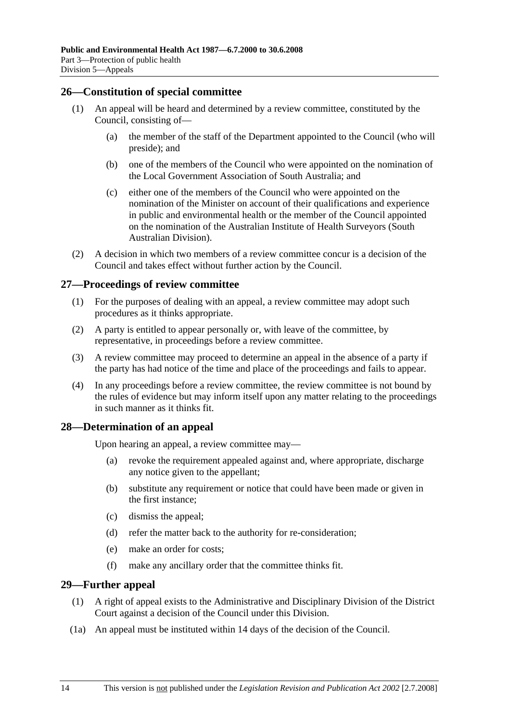### **26—Constitution of special committee**

- (1) An appeal will be heard and determined by a review committee, constituted by the Council, consisting of—
	- (a) the member of the staff of the Department appointed to the Council (who will preside); and
	- (b) one of the members of the Council who were appointed on the nomination of the Local Government Association of South Australia; and
	- (c) either one of the members of the Council who were appointed on the nomination of the Minister on account of their qualifications and experience in public and environmental health or the member of the Council appointed on the nomination of the Australian Institute of Health Surveyors (South Australian Division).
- (2) A decision in which two members of a review committee concur is a decision of the Council and takes effect without further action by the Council.

### **27—Proceedings of review committee**

- (1) For the purposes of dealing with an appeal, a review committee may adopt such procedures as it thinks appropriate.
- (2) A party is entitled to appear personally or, with leave of the committee, by representative, in proceedings before a review committee.
- (3) A review committee may proceed to determine an appeal in the absence of a party if the party has had notice of the time and place of the proceedings and fails to appear.
- (4) In any proceedings before a review committee, the review committee is not bound by the rules of evidence but may inform itself upon any matter relating to the proceedings in such manner as it thinks fit.

### **28—Determination of an appeal**

Upon hearing an appeal, a review committee may—

- (a) revoke the requirement appealed against and, where appropriate, discharge any notice given to the appellant;
- (b) substitute any requirement or notice that could have been made or given in the first instance;
- (c) dismiss the appeal;
- (d) refer the matter back to the authority for re-consideration;
- (e) make an order for costs;
- (f) make any ancillary order that the committee thinks fit.

### **29—Further appeal**

- (1) A right of appeal exists to the Administrative and Disciplinary Division of the District Court against a decision of the Council under this Division.
- (1a) An appeal must be instituted within 14 days of the decision of the Council.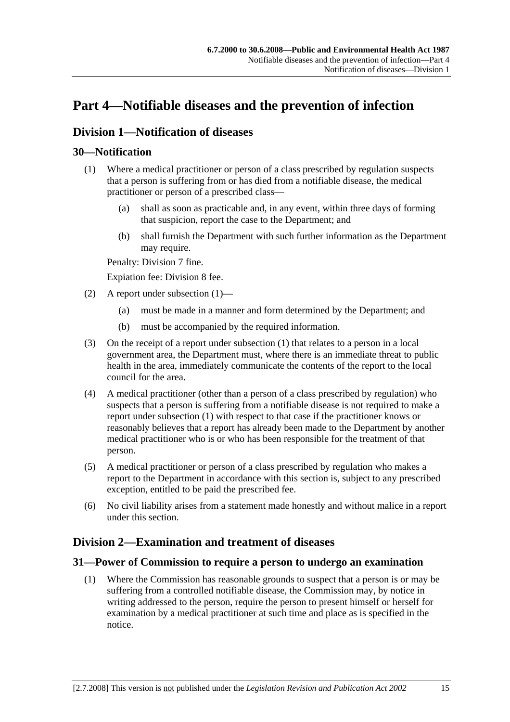# **Part 4—Notifiable diseases and the prevention of infection**

## **Division 1—Notification of diseases**

## **30—Notification**

- (1) Where a medical practitioner or person of a class prescribed by regulation suspects that a person is suffering from or has died from a notifiable disease, the medical practitioner or person of a prescribed class—
	- (a) shall as soon as practicable and, in any event, within three days of forming that suspicion, report the case to the Department; and
	- (b) shall furnish the Department with such further information as the Department may require.

Penalty: Division 7 fine.

Expiation fee: Division 8 fee.

- (2) A report under subsection (1)—
	- (a) must be made in a manner and form determined by the Department; and
	- (b) must be accompanied by the required information.
- (3) On the receipt of a report under subsection (1) that relates to a person in a local government area, the Department must, where there is an immediate threat to public health in the area, immediately communicate the contents of the report to the local council for the area.
- (4) A medical practitioner (other than a person of a class prescribed by regulation) who suspects that a person is suffering from a notifiable disease is not required to make a report under subsection (1) with respect to that case if the practitioner knows or reasonably believes that a report has already been made to the Department by another medical practitioner who is or who has been responsible for the treatment of that person.
- (5) A medical practitioner or person of a class prescribed by regulation who makes a report to the Department in accordance with this section is, subject to any prescribed exception, entitled to be paid the prescribed fee.
- (6) No civil liability arises from a statement made honestly and without malice in a report under this section.

## **Division 2—Examination and treatment of diseases**

### **31—Power of Commission to require a person to undergo an examination**

 (1) Where the Commission has reasonable grounds to suspect that a person is or may be suffering from a controlled notifiable disease, the Commission may, by notice in writing addressed to the person, require the person to present himself or herself for examination by a medical practitioner at such time and place as is specified in the notice.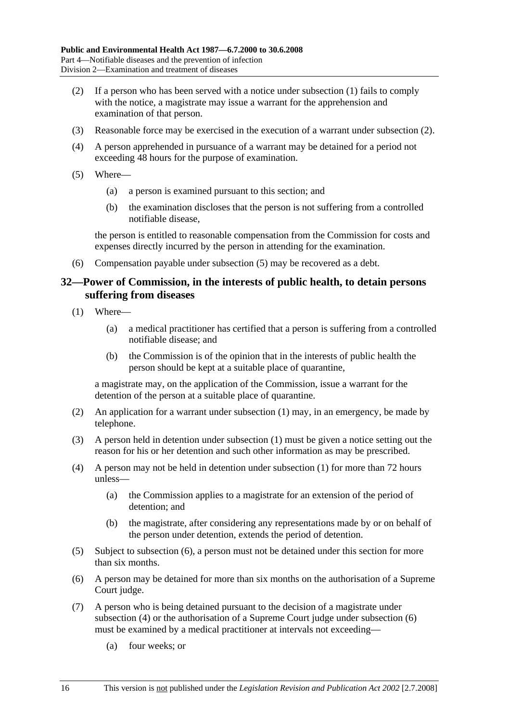- (2) If a person who has been served with a notice under subsection (1) fails to comply with the notice, a magistrate may issue a warrant for the apprehension and examination of that person.
- (3) Reasonable force may be exercised in the execution of a warrant under subsection (2).
- (4) A person apprehended in pursuance of a warrant may be detained for a period not exceeding 48 hours for the purpose of examination.
- (5) Where—
	- (a) a person is examined pursuant to this section; and
	- (b) the examination discloses that the person is not suffering from a controlled notifiable disease,

the person is entitled to reasonable compensation from the Commission for costs and expenses directly incurred by the person in attending for the examination.

(6) Compensation payable under subsection (5) may be recovered as a debt.

### **32—Power of Commission, in the interests of public health, to detain persons suffering from diseases**

- (1) Where—
	- (a) a medical practitioner has certified that a person is suffering from a controlled notifiable disease; and
	- (b) the Commission is of the opinion that in the interests of public health the person should be kept at a suitable place of quarantine,

a magistrate may, on the application of the Commission, issue a warrant for the detention of the person at a suitable place of quarantine.

- (2) An application for a warrant under subsection (1) may, in an emergency, be made by telephone.
- (3) A person held in detention under subsection (1) must be given a notice setting out the reason for his or her detention and such other information as may be prescribed.
- (4) A person may not be held in detention under subsection (1) for more than 72 hours unless—
	- (a) the Commission applies to a magistrate for an extension of the period of detention; and
	- (b) the magistrate, after considering any representations made by or on behalf of the person under detention, extends the period of detention.
- (5) Subject to subsection (6), a person must not be detained under this section for more than six months.
- (6) A person may be detained for more than six months on the authorisation of a Supreme Court judge.
- (7) A person who is being detained pursuant to the decision of a magistrate under subsection (4) or the authorisation of a Supreme Court judge under subsection (6) must be examined by a medical practitioner at intervals not exceeding—
	- (a) four weeks; or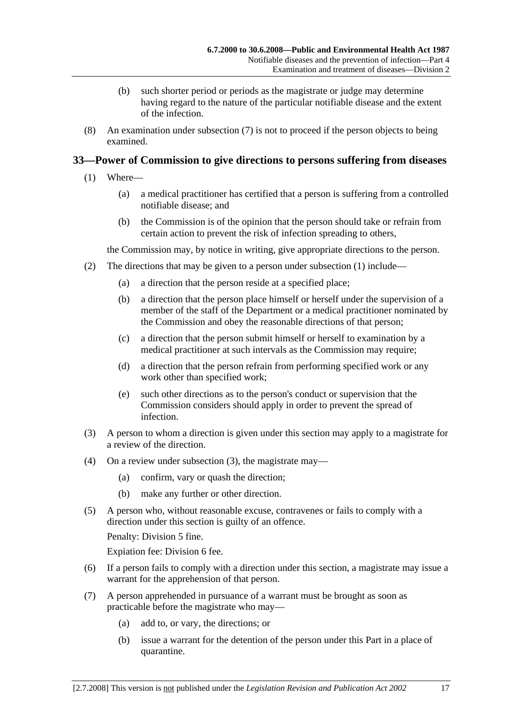- (b) such shorter period or periods as the magistrate or judge may determine having regard to the nature of the particular notifiable disease and the extent of the infection.
- (8) An examination under subsection (7) is not to proceed if the person objects to being examined.

## **33—Power of Commission to give directions to persons suffering from diseases**

- (1) Where—
	- (a) a medical practitioner has certified that a person is suffering from a controlled notifiable disease; and
	- (b) the Commission is of the opinion that the person should take or refrain from certain action to prevent the risk of infection spreading to others,

the Commission may, by notice in writing, give appropriate directions to the person.

- (2) The directions that may be given to a person under subsection (1) include—
	- (a) a direction that the person reside at a specified place;
	- (b) a direction that the person place himself or herself under the supervision of a member of the staff of the Department or a medical practitioner nominated by the Commission and obey the reasonable directions of that person;
	- (c) a direction that the person submit himself or herself to examination by a medical practitioner at such intervals as the Commission may require;
	- (d) a direction that the person refrain from performing specified work or any work other than specified work;
	- (e) such other directions as to the person's conduct or supervision that the Commission considers should apply in order to prevent the spread of infection.
- (3) A person to whom a direction is given under this section may apply to a magistrate for a review of the direction.
- (4) On a review under subsection (3), the magistrate may—
	- (a) confirm, vary or quash the direction;
	- (b) make any further or other direction.
- (5) A person who, without reasonable excuse, contravenes or fails to comply with a direction under this section is guilty of an offence.

Penalty: Division 5 fine.

Expiation fee: Division 6 fee.

- (6) If a person fails to comply with a direction under this section, a magistrate may issue a warrant for the apprehension of that person.
- (7) A person apprehended in pursuance of a warrant must be brought as soon as practicable before the magistrate who may—
	- (a) add to, or vary, the directions; or
	- (b) issue a warrant for the detention of the person under this Part in a place of quarantine.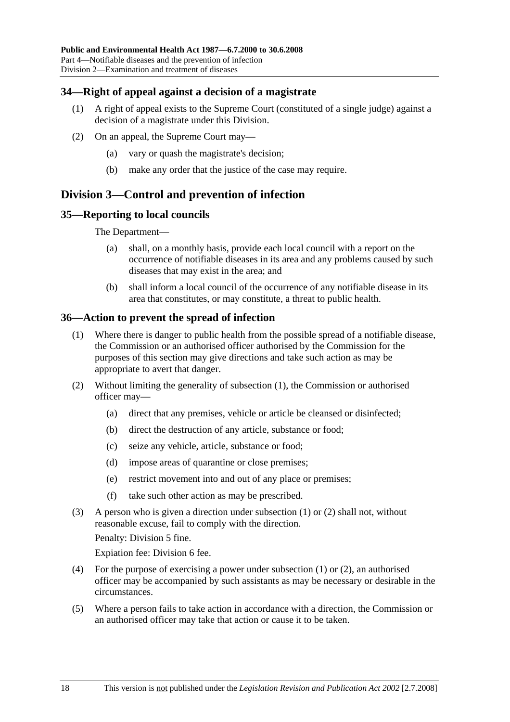### **34—Right of appeal against a decision of a magistrate**

- (1) A right of appeal exists to the Supreme Court (constituted of a single judge) against a decision of a magistrate under this Division.
- (2) On an appeal, the Supreme Court may—
	- (a) vary or quash the magistrate's decision;
	- (b) make any order that the justice of the case may require.

## **Division 3—Control and prevention of infection**

### **35—Reporting to local councils**

The Department—

- (a) shall, on a monthly basis, provide each local council with a report on the occurrence of notifiable diseases in its area and any problems caused by such diseases that may exist in the area; and
- (b) shall inform a local council of the occurrence of any notifiable disease in its area that constitutes, or may constitute, a threat to public health.

### **36—Action to prevent the spread of infection**

- (1) Where there is danger to public health from the possible spread of a notifiable disease, the Commission or an authorised officer authorised by the Commission for the purposes of this section may give directions and take such action as may be appropriate to avert that danger.
- (2) Without limiting the generality of subsection (1), the Commission or authorised officer may—
	- (a) direct that any premises, vehicle or article be cleansed or disinfected;
	- (b) direct the destruction of any article, substance or food;
	- (c) seize any vehicle, article, substance or food;
	- (d) impose areas of quarantine or close premises;
	- (e) restrict movement into and out of any place or premises;
	- (f) take such other action as may be prescribed.
- (3) A person who is given a direction under subsection (1) or (2) shall not, without reasonable excuse, fail to comply with the direction.

Penalty: Division 5 fine.

Expiation fee: Division 6 fee.

- (4) For the purpose of exercising a power under subsection (1) or (2), an authorised officer may be accompanied by such assistants as may be necessary or desirable in the circumstances.
- (5) Where a person fails to take action in accordance with a direction, the Commission or an authorised officer may take that action or cause it to be taken.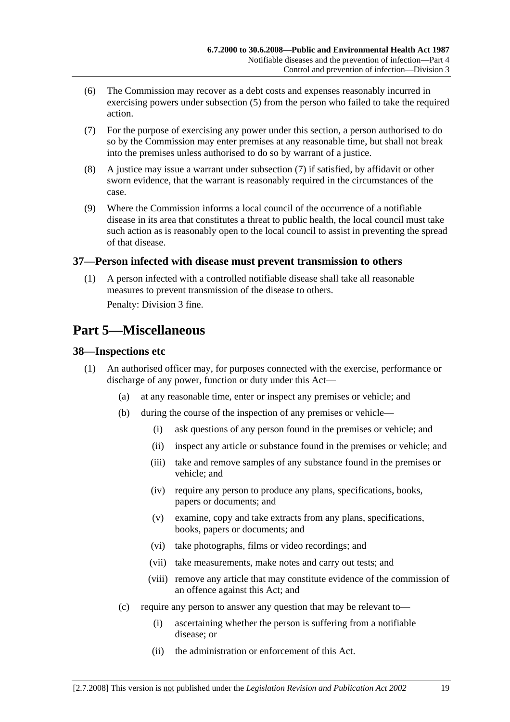- (6) The Commission may recover as a debt costs and expenses reasonably incurred in exercising powers under subsection (5) from the person who failed to take the required action.
- (7) For the purpose of exercising any power under this section, a person authorised to do so by the Commission may enter premises at any reasonable time, but shall not break into the premises unless authorised to do so by warrant of a justice.
- (8) A justice may issue a warrant under subsection (7) if satisfied, by affidavit or other sworn evidence, that the warrant is reasonably required in the circumstances of the case.
- (9) Where the Commission informs a local council of the occurrence of a notifiable disease in its area that constitutes a threat to public health, the local council must take such action as is reasonably open to the local council to assist in preventing the spread of that disease.

### **37—Person infected with disease must prevent transmission to others**

 (1) A person infected with a controlled notifiable disease shall take all reasonable measures to prevent transmission of the disease to others.

Penalty: Division 3 fine.

## **Part 5—Miscellaneous**

### **38—Inspections etc**

- (1) An authorised officer may, for purposes connected with the exercise, performance or discharge of any power, function or duty under this Act—
	- (a) at any reasonable time, enter or inspect any premises or vehicle; and
	- (b) during the course of the inspection of any premises or vehicle—
		- (i) ask questions of any person found in the premises or vehicle; and
		- (ii) inspect any article or substance found in the premises or vehicle; and
		- (iii) take and remove samples of any substance found in the premises or vehicle; and
		- (iv) require any person to produce any plans, specifications, books, papers or documents; and
		- (v) examine, copy and take extracts from any plans, specifications, books, papers or documents; and
		- (vi) take photographs, films or video recordings; and
		- (vii) take measurements, make notes and carry out tests; and
		- (viii) remove any article that may constitute evidence of the commission of an offence against this Act; and
	- (c) require any person to answer any question that may be relevant to—
		- (i) ascertaining whether the person is suffering from a notifiable disease; or
		- (ii) the administration or enforcement of this Act.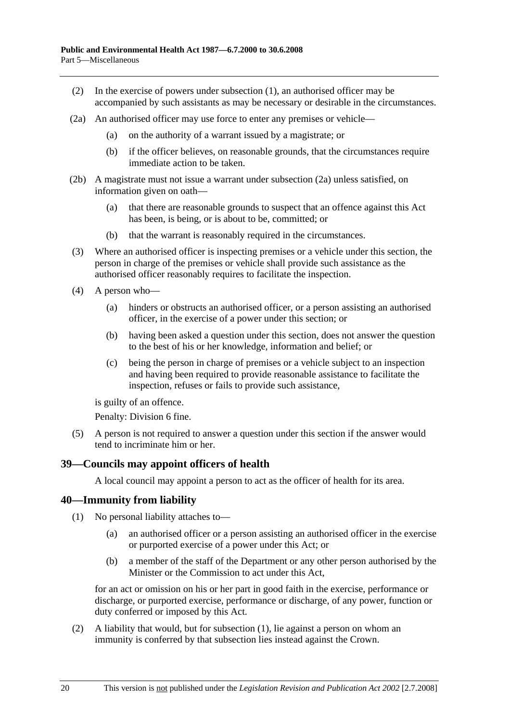- (2) In the exercise of powers under subsection (1), an authorised officer may be accompanied by such assistants as may be necessary or desirable in the circumstances.
- (2a) An authorised officer may use force to enter any premises or vehicle—
	- (a) on the authority of a warrant issued by a magistrate; or
	- (b) if the officer believes, on reasonable grounds, that the circumstances require immediate action to be taken.
- (2b) A magistrate must not issue a warrant under subsection (2a) unless satisfied, on information given on oath—
	- (a) that there are reasonable grounds to suspect that an offence against this Act has been, is being, or is about to be, committed; or
	- (b) that the warrant is reasonably required in the circumstances.
- (3) Where an authorised officer is inspecting premises or a vehicle under this section, the person in charge of the premises or vehicle shall provide such assistance as the authorised officer reasonably requires to facilitate the inspection.
- (4) A person who—
	- (a) hinders or obstructs an authorised officer, or a person assisting an authorised officer, in the exercise of a power under this section; or
	- (b) having been asked a question under this section, does not answer the question to the best of his or her knowledge, information and belief; or
	- (c) being the person in charge of premises or a vehicle subject to an inspection and having been required to provide reasonable assistance to facilitate the inspection, refuses or fails to provide such assistance,

is guilty of an offence.

Penalty: Division 6 fine.

 (5) A person is not required to answer a question under this section if the answer would tend to incriminate him or her.

### **39—Councils may appoint officers of health**

A local council may appoint a person to act as the officer of health for its area.

### **40—Immunity from liability**

- (1) No personal liability attaches to—
	- (a) an authorised officer or a person assisting an authorised officer in the exercise or purported exercise of a power under this Act; or
	- (b) a member of the staff of the Department or any other person authorised by the Minister or the Commission to act under this Act,

for an act or omission on his or her part in good faith in the exercise, performance or discharge, or purported exercise, performance or discharge, of any power, function or duty conferred or imposed by this Act.

 (2) A liability that would, but for subsection (1), lie against a person on whom an immunity is conferred by that subsection lies instead against the Crown.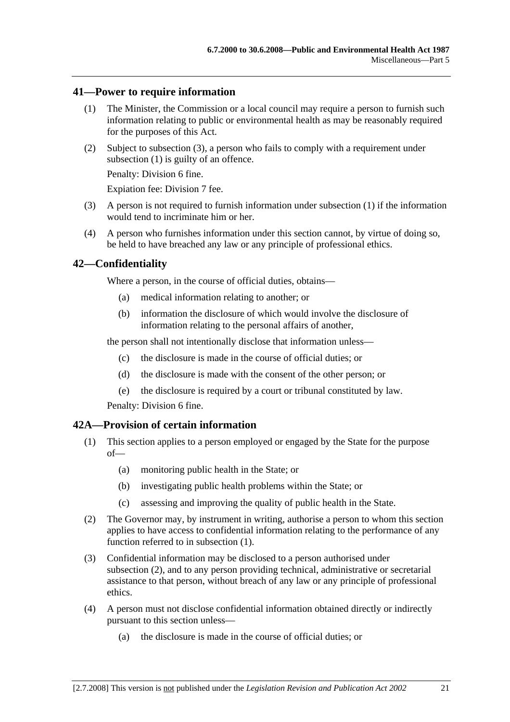### **41—Power to require information**

- (1) The Minister, the Commission or a local council may require a person to furnish such information relating to public or environmental health as may be reasonably required for the purposes of this Act.
- (2) Subject to subsection (3), a person who fails to comply with a requirement under subsection (1) is guilty of an offence.

Penalty: Division 6 fine.

Expiation fee: Division 7 fee.

- (3) A person is not required to furnish information under subsection (1) if the information would tend to incriminate him or her.
- (4) A person who furnishes information under this section cannot, by virtue of doing so, be held to have breached any law or any principle of professional ethics.

### **42—Confidentiality**

Where a person, in the course of official duties, obtains—

- (a) medical information relating to another; or
- (b) information the disclosure of which would involve the disclosure of information relating to the personal affairs of another,

the person shall not intentionally disclose that information unless—

- (c) the disclosure is made in the course of official duties; or
- (d) the disclosure is made with the consent of the other person; or
- (e) the disclosure is required by a court or tribunal constituted by law.

Penalty: Division 6 fine.

### **42A—Provision of certain information**

- (1) This section applies to a person employed or engaged by the State for the purpose of—
	- (a) monitoring public health in the State; or
	- (b) investigating public health problems within the State; or
	- (c) assessing and improving the quality of public health in the State.
- (2) The Governor may, by instrument in writing, authorise a person to whom this section applies to have access to confidential information relating to the performance of any function referred to in subsection (1).
- (3) Confidential information may be disclosed to a person authorised under subsection (2), and to any person providing technical, administrative or secretarial assistance to that person, without breach of any law or any principle of professional ethics.
- (4) A person must not disclose confidential information obtained directly or indirectly pursuant to this section unless—
	- (a) the disclosure is made in the course of official duties; or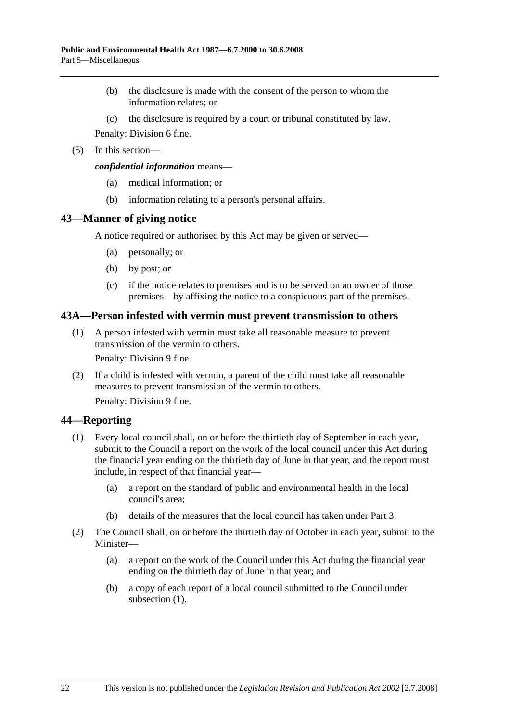- (b) the disclosure is made with the consent of the person to whom the information relates; or
- (c) the disclosure is required by a court or tribunal constituted by law.

Penalty: Division 6 fine.

(5) In this section—

*confidential information* means—

- (a) medical information; or
- (b) information relating to a person's personal affairs.

### **43—Manner of giving notice**

A notice required or authorised by this Act may be given or served—

- (a) personally; or
- (b) by post; or
- (c) if the notice relates to premises and is to be served on an owner of those premises—by affixing the notice to a conspicuous part of the premises.

### **43A—Person infested with vermin must prevent transmission to others**

 (1) A person infested with vermin must take all reasonable measure to prevent transmission of the vermin to others.

Penalty: Division 9 fine.

 (2) If a child is infested with vermin, a parent of the child must take all reasonable measures to prevent transmission of the vermin to others.

Penalty: Division 9 fine.

### **44—Reporting**

- (1) Every local council shall, on or before the thirtieth day of September in each year, submit to the Council a report on the work of the local council under this Act during the financial year ending on the thirtieth day of June in that year, and the report must include, in respect of that financial year—
	- (a) a report on the standard of public and environmental health in the local council's area;
	- (b) details of the measures that the local council has taken under Part 3.
- (2) The Council shall, on or before the thirtieth day of October in each year, submit to the Minister—
	- (a) a report on the work of the Council under this Act during the financial year ending on the thirtieth day of June in that year; and
	- (b) a copy of each report of a local council submitted to the Council under subsection (1).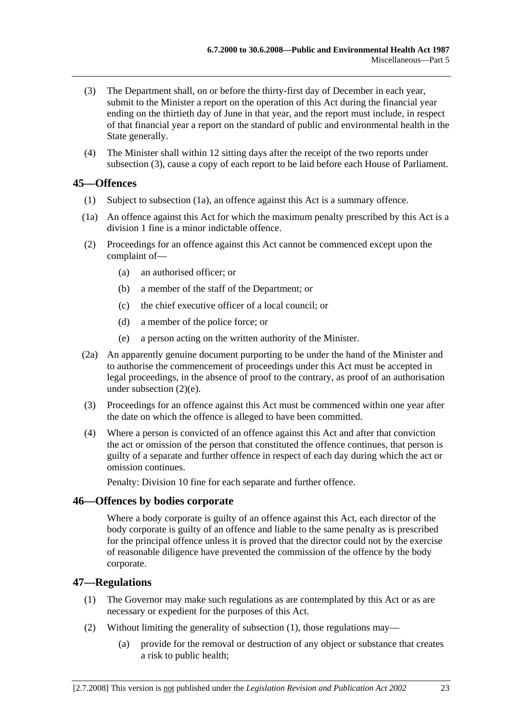- (3) The Department shall, on or before the thirty-first day of December in each year, submit to the Minister a report on the operation of this Act during the financial year ending on the thirtieth day of June in that year, and the report must include, in respect of that financial year a report on the standard of public and environmental health in the State generally.
- (4) The Minister shall within 12 sitting days after the receipt of the two reports under subsection (3), cause a copy of each report to be laid before each House of Parliament.

### **45—Offences**

- (1) Subject to subsection (1a), an offence against this Act is a summary offence.
- (1a) An offence against this Act for which the maximum penalty prescribed by this Act is a division 1 fine is a minor indictable offence.
- (2) Proceedings for an offence against this Act cannot be commenced except upon the complaint of—
	- (a) an authorised officer; or
	- (b) a member of the staff of the Department; or
	- (c) the chief executive officer of a local council; or
	- (d) a member of the police force; or
	- (e) a person acting on the written authority of the Minister.
- (2a) An apparently genuine document purporting to be under the hand of the Minister and to authorise the commencement of proceedings under this Act must be accepted in legal proceedings, in the absence of proof to the contrary, as proof of an authorisation under subsection (2)(e).
- (3) Proceedings for an offence against this Act must be commenced within one year after the date on which the offence is alleged to have been committed.
- (4) Where a person is convicted of an offence against this Act and after that conviction the act or omission of the person that constituted the offence continues, that person is guilty of a separate and further offence in respect of each day during which the act or omission continues.

Penalty: Division 10 fine for each separate and further offence.

### **46—Offences by bodies corporate**

Where a body corporate is guilty of an offence against this Act, each director of the body corporate is guilty of an offence and liable to the same penalty as is prescribed for the principal offence unless it is proved that the director could not by the exercise of reasonable diligence have prevented the commission of the offence by the body corporate.

### **47—Regulations**

- (1) The Governor may make such regulations as are contemplated by this Act or as are necessary or expedient for the purposes of this Act.
- (2) Without limiting the generality of subsection (1), those regulations may—
	- (a) provide for the removal or destruction of any object or substance that creates a risk to public health;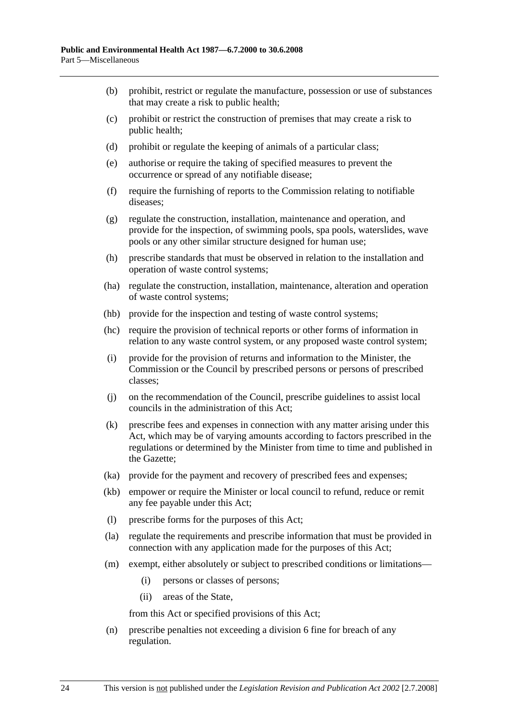- (b) prohibit, restrict or regulate the manufacture, possession or use of substances that may create a risk to public health;
- (c) prohibit or restrict the construction of premises that may create a risk to public health;
- (d) prohibit or regulate the keeping of animals of a particular class;
- (e) authorise or require the taking of specified measures to prevent the occurrence or spread of any notifiable disease;
- (f) require the furnishing of reports to the Commission relating to notifiable diseases;
- (g) regulate the construction, installation, maintenance and operation, and provide for the inspection, of swimming pools, spa pools, waterslides, wave pools or any other similar structure designed for human use;
- (h) prescribe standards that must be observed in relation to the installation and operation of waste control systems;
- (ha) regulate the construction, installation, maintenance, alteration and operation of waste control systems;
- (hb) provide for the inspection and testing of waste control systems;
- (hc) require the provision of technical reports or other forms of information in relation to any waste control system, or any proposed waste control system;
- (i) provide for the provision of returns and information to the Minister, the Commission or the Council by prescribed persons or persons of prescribed classes;
- (j) on the recommendation of the Council, prescribe guidelines to assist local councils in the administration of this Act;
- (k) prescribe fees and expenses in connection with any matter arising under this Act, which may be of varying amounts according to factors prescribed in the regulations or determined by the Minister from time to time and published in the Gazette;
- (ka) provide for the payment and recovery of prescribed fees and expenses;
- (kb) empower or require the Minister or local council to refund, reduce or remit any fee payable under this Act;
- (l) prescribe forms for the purposes of this Act;
- (la) regulate the requirements and prescribe information that must be provided in connection with any application made for the purposes of this Act;
- (m) exempt, either absolutely or subject to prescribed conditions or limitations—
	- (i) persons or classes of persons;
	- (ii) areas of the State,

from this Act or specified provisions of this Act;

 (n) prescribe penalties not exceeding a division 6 fine for breach of any regulation.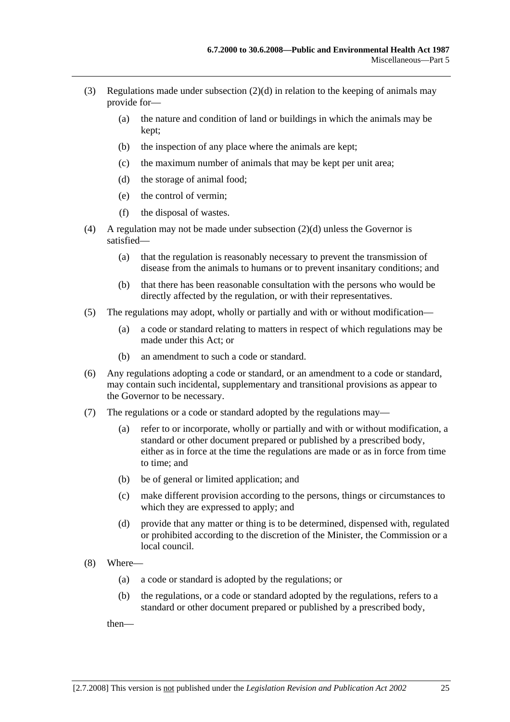- (3) Regulations made under subsection  $(2)(d)$  in relation to the keeping of animals may provide for—
	- (a) the nature and condition of land or buildings in which the animals may be kept;
	- (b) the inspection of any place where the animals are kept;
	- (c) the maximum number of animals that may be kept per unit area;
	- (d) the storage of animal food;
	- (e) the control of vermin;
	- (f) the disposal of wastes.
- (4) A regulation may not be made under subsection (2)(d) unless the Governor is satisfied—
	- (a) that the regulation is reasonably necessary to prevent the transmission of disease from the animals to humans or to prevent insanitary conditions; and
	- (b) that there has been reasonable consultation with the persons who would be directly affected by the regulation, or with their representatives.
- (5) The regulations may adopt, wholly or partially and with or without modification—
	- (a) a code or standard relating to matters in respect of which regulations may be made under this Act; or
	- (b) an amendment to such a code or standard.
- (6) Any regulations adopting a code or standard, or an amendment to a code or standard, may contain such incidental, supplementary and transitional provisions as appear to the Governor to be necessary.
- (7) The regulations or a code or standard adopted by the regulations may—
	- (a) refer to or incorporate, wholly or partially and with or without modification, a standard or other document prepared or published by a prescribed body, either as in force at the time the regulations are made or as in force from time to time; and
	- (b) be of general or limited application; and
	- (c) make different provision according to the persons, things or circumstances to which they are expressed to apply; and
	- (d) provide that any matter or thing is to be determined, dispensed with, regulated or prohibited according to the discretion of the Minister, the Commission or a local council.
- (8) Where—
	- (a) a code or standard is adopted by the regulations; or
	- (b) the regulations, or a code or standard adopted by the regulations, refers to a standard or other document prepared or published by a prescribed body,

then—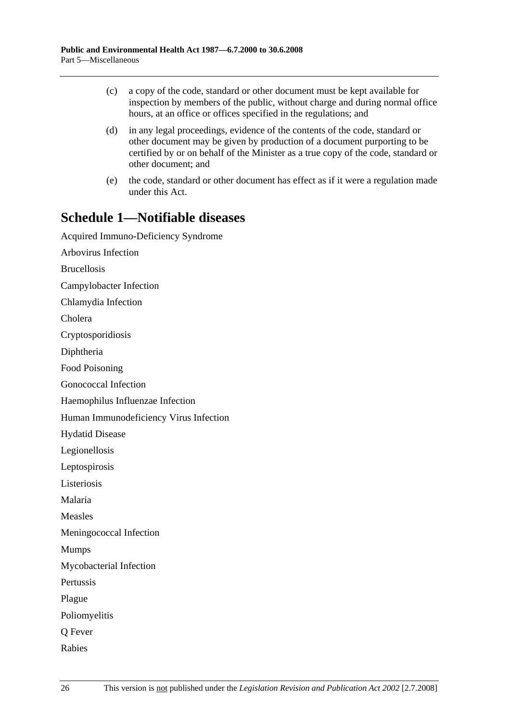- (c) a copy of the code, standard or other document must be kept available for inspection by members of the public, without charge and during normal office hours, at an office or offices specified in the regulations; and
- (d) in any legal proceedings, evidence of the contents of the code, standard or other document may be given by production of a document purporting to be certified by or on behalf of the Minister as a true copy of the code, standard or other document; and
- (e) the code, standard or other document has effect as if it were a regulation made under this Act.

# **Schedule 1—Notifiable diseases**

Acquired Immuno-Deficiency Syndrome Arbovirus Infection Brucellosis Campylobacter Infection Chlamydia Infection Cholera Cryptosporidiosis Diphtheria Food Poisoning Gonococcal Infection Haemophilus Influenzae Infection Human Immunodeficiency Virus Infection Hydatid Disease Legionellosis Leptospirosis Listeriosis Malaria Measles Meningococcal Infection Mumps Mycobacterial Infection Pertussis Plague Poliomyelitis Q Fever Rabies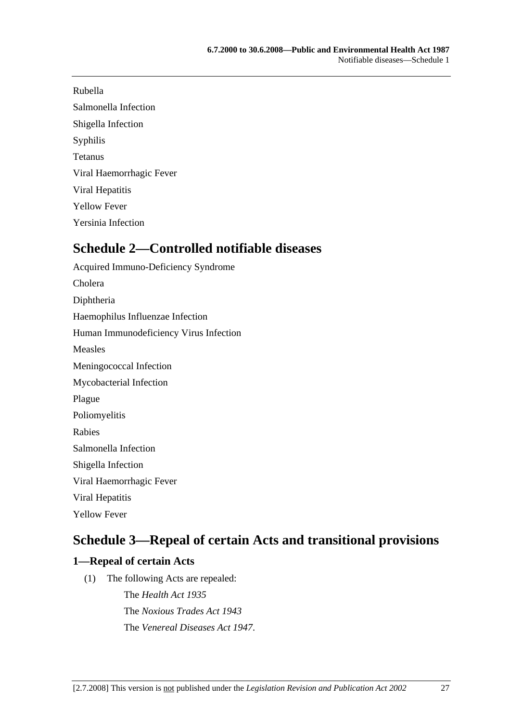### Rubella

Salmonella Infection Shigella Infection

Syphilis

Tetanus

Viral Haemorrhagic Fever

Viral Hepatitis

Yellow Fever

Yersinia Infection

# **Schedule 2—Controlled notifiable diseases**

Acquired Immuno-Deficiency Syndrome Cholera Diphtheria Haemophilus Influenzae Infection Human Immunodeficiency Virus Infection Measles Meningococcal Infection Mycobacterial Infection Plague Poliomyelitis Rabies Salmonella Infection Shigella Infection Viral Haemorrhagic Fever Viral Hepatitis Yellow Fever

# **Schedule 3—Repeal of certain Acts and transitional provisions**

## **1—Repeal of certain Acts**

(1) The following Acts are repealed:

The *Health Act 1935* The *Noxious Trades Act 1943* The *Venereal Diseases Act 1947*.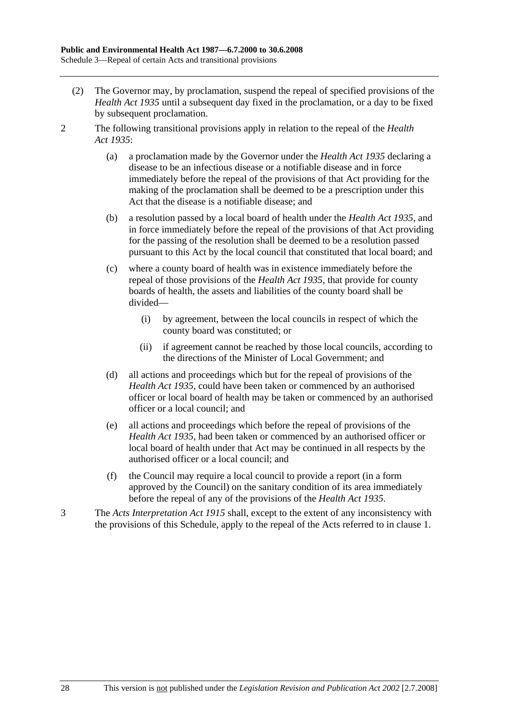- (2) The Governor may, by proclamation, suspend the repeal of specified provisions of the *Health Act 1935* until a subsequent day fixed in the proclamation, or a day to be fixed by subsequent proclamation.
- 2 The following transitional provisions apply in relation to the repeal of the *Health Act 1935*:
	- (a) a proclamation made by the Governor under the *Health Act 1935* declaring a disease to be an infectious disease or a notifiable disease and in force immediately before the repeal of the provisions of that Act providing for the making of the proclamation shall be deemed to be a prescription under this Act that the disease is a notifiable disease; and
	- (b) a resolution passed by a local board of health under the *Health Act 1935*, and in force immediately before the repeal of the provisions of that Act providing for the passing of the resolution shall be deemed to be a resolution passed pursuant to this Act by the local council that constituted that local board; and
	- (c) where a county board of health was in existence immediately before the repeal of those provisions of the *Health Act 1935*, that provide for county boards of health, the assets and liabilities of the county board shall be divided—
		- (i) by agreement, between the local councils in respect of which the county board was constituted; or
		- (ii) if agreement cannot be reached by those local councils, according to the directions of the Minister of Local Government; and
	- (d) all actions and proceedings which but for the repeal of provisions of the *Health Act 1935*, could have been taken or commenced by an authorised officer or local board of health may be taken or commenced by an authorised officer or a local council; and
	- (e) all actions and proceedings which before the repeal of provisions of the *Health Act 1935*, had been taken or commenced by an authorised officer or local board of health under that Act may be continued in all respects by the authorised officer or a local council; and
	- (f) the Council may require a local council to provide a report (in a form approved by the Council) on the sanitary condition of its area immediately before the repeal of any of the provisions of the *Health Act 1935*.
- 3 The *Acts Interpretation Act 1915* shall, except to the extent of any inconsistency with the provisions of this Schedule, apply to the repeal of the Acts referred to in clause 1.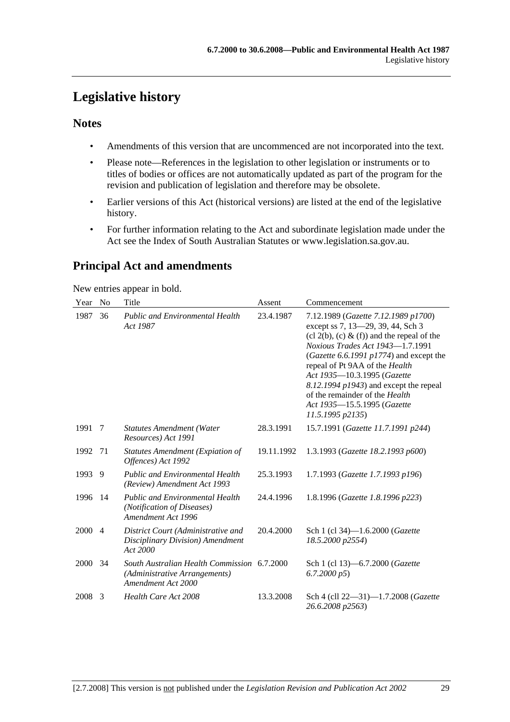# **Legislative history**

### **Notes**

- Amendments of this version that are uncommenced are not incorporated into the text.
- Please note—References in the legislation to other legislation or instruments or to titles of bodies or offices are not automatically updated as part of the program for the revision and publication of legislation and therefore may be obsolete.
- Earlier versions of this Act (historical versions) are listed at the end of the legislative history.
- For further information relating to the Act and subordinate legislation made under the Act see the Index of South Australian Statutes or www.legislation.sa.gov.au.

## **Principal Act and amendments**

New entries appear in bold.

| Year | N <sub>0</sub> | Title                                                                                              | Assent     | Commencement                                                                                                                                                                                                                                                                                                                                                                                                     |
|------|----------------|----------------------------------------------------------------------------------------------------|------------|------------------------------------------------------------------------------------------------------------------------------------------------------------------------------------------------------------------------------------------------------------------------------------------------------------------------------------------------------------------------------------------------------------------|
| 1987 | 36             | <b>Public and Environmental Health</b><br>Act 1987                                                 | 23.4.1987  | 7.12.1989 (Gazette 7.12.1989 p1700)<br>except ss 7, 13-29, 39, 44, Sch 3<br>$(cl 2(b), (c) \& (f))$ and the repeal of the<br>Noxious Trades Act 1943-1.7.1991<br>(Gazette 6.6.1991 $p1774$ ) and except the<br>repeal of Pt 9AA of the Health<br>Act 1935-10.3.1995 (Gazette<br>$8.12.1994$ $p1943$ ) and except the repeal<br>of the remainder of the Health<br>Act 1935-15.5.1995 (Gazette<br>11.5.1995 p2135) |
| 1991 | -7             | <b>Statutes Amendment (Water</b><br>Resources) Act 1991                                            | 28.3.1991  | 15.7.1991 (Gazette 11.7.1991 p244)                                                                                                                                                                                                                                                                                                                                                                               |
| 1992 | 71             | <b>Statutes Amendment (Expiation of</b><br>Offences) Act 1992                                      | 19.11.1992 | 1.3.1993 (Gazette 18.2.1993 p600)                                                                                                                                                                                                                                                                                                                                                                                |
| 1993 | 9              | <b>Public and Environmental Health</b><br>(Review) Amendment Act 1993                              | 25.3.1993  | 1.7.1993 (Gazette 1.7.1993 p196)                                                                                                                                                                                                                                                                                                                                                                                 |
| 1996 | -14            | <b>Public and Environmental Health</b><br>(Notification of Diseases)<br>Amendment Act 1996         | 24.4.1996  | 1.8.1996 (Gazette 1.8.1996 p223)                                                                                                                                                                                                                                                                                                                                                                                 |
| 2000 | $\overline{4}$ | District Court (Administrative and<br>Disciplinary Division) Amendment<br>Act 2000                 | 20.4.2000  | Sch 1 (cl 34)-1.6.2000 ( <i>Gazette</i><br>18.5.2000 p2554)                                                                                                                                                                                                                                                                                                                                                      |
| 2000 | 34             | South Australian Health Commission 6.7.2000<br>(Administrative Arrangements)<br>Amendment Act 2000 |            | Sch 1 (cl 13)–6.7.2000 ( <i>Gazette</i><br>6.7.2000 p5                                                                                                                                                                                                                                                                                                                                                           |
| 2008 | 3              | Health Care Act 2008                                                                               | 13.3.2008  | Sch 4 (cll 22-31)-1.7.2008 (Gazette<br>26.6.2008 p2563)                                                                                                                                                                                                                                                                                                                                                          |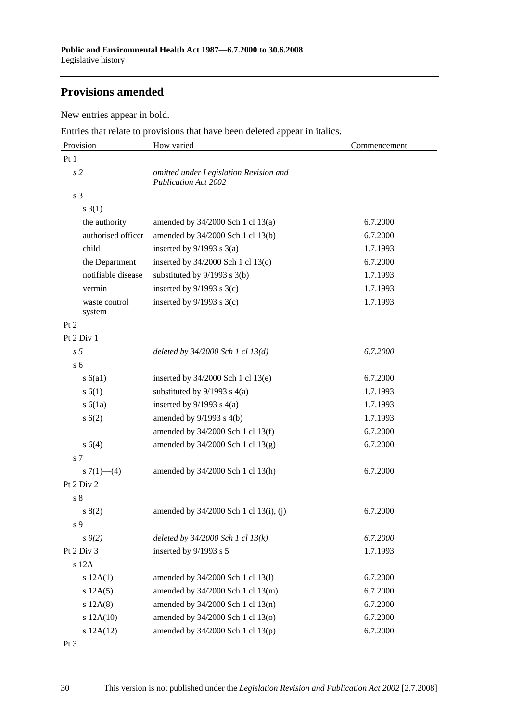## **Provisions amended**

New entries appear in bold.

Entries that relate to provisions that have been deleted appear in italics.

| Provision               | How varied                                                            | Commencement |  |
|-------------------------|-----------------------------------------------------------------------|--------------|--|
| Pt1                     |                                                                       |              |  |
| s <sub>2</sub>          | omitted under Legislation Revision and<br><b>Publication Act 2002</b> |              |  |
| s 3                     |                                                                       |              |  |
| $s \; 3(1)$             |                                                                       |              |  |
| the authority           | amended by 34/2000 Sch 1 cl 13(a)                                     | 6.7.2000     |  |
| authorised officer      | amended by 34/2000 Sch 1 cl 13(b)                                     | 6.7.2000     |  |
| child                   | inserted by $9/1993$ s $3(a)$                                         | 1.7.1993     |  |
| the Department          | inserted by $34/2000$ Sch 1 cl $13(c)$                                | 6.7.2000     |  |
| notifiable disease      | substituted by $9/1993$ s $3(b)$                                      | 1.7.1993     |  |
| vermin                  | inserted by $9/1993$ s $3(c)$                                         | 1.7.1993     |  |
| waste control<br>system | inserted by $9/1993$ s $3(c)$                                         | 1.7.1993     |  |
| Pt 2                    |                                                                       |              |  |
| Pt 2 Div 1              |                                                                       |              |  |
| s <sub>5</sub>          | deleted by $34/2000$ Sch 1 cl $13(d)$                                 | 6.7.2000     |  |
| s <sub>6</sub>          |                                                                       |              |  |
| s(6a1)                  | inserted by $34/2000$ Sch 1 cl 13(e)                                  | 6.7.2000     |  |
| s(6(1))                 | substituted by $9/1993$ s $4(a)$                                      | 1.7.1993     |  |
| s(6(1a))                | inserted by $9/1993$ s $4(a)$                                         | 1.7.1993     |  |
| s(6(2))                 | amended by $9/1993$ s $4(b)$                                          | 1.7.1993     |  |
|                         | amended by 34/2000 Sch 1 cl 13(f)                                     | 6.7.2000     |  |
| s(4)                    | amended by $34/2000$ Sch 1 cl $13(g)$                                 | 6.7.2000     |  |
| s <sub>7</sub>          |                                                                       |              |  |
| s $7(1)$ — $(4)$        | amended by 34/2000 Sch 1 cl 13(h)                                     | 6.7.2000     |  |
| Pt 2 Div 2              |                                                                       |              |  |
| s <sub>8</sub>          |                                                                       |              |  |
| s(2)                    | amended by 34/2000 Sch 1 cl 13(i), (j)                                | 6.7.2000     |  |
| s 9                     |                                                                       |              |  |
| $s \frac{9(2)}{2}$      | deleted by $34/2000$ Sch 1 cl $13(k)$                                 | 6.7.2000     |  |
| Pt 2 Div 3              | inserted by 9/1993 s 5                                                | 1.7.1993     |  |
| s 12A                   |                                                                       |              |  |
| s 12A(1)                | amended by 34/2000 Sch 1 cl 13(l)                                     | 6.7.2000     |  |
| s 12A(5)                | amended by 34/2000 Sch 1 cl 13(m)                                     | 6.7.2000     |  |
| s 12A(8)                | amended by 34/2000 Sch 1 cl 13(n)                                     | 6.7.2000     |  |
| s 12A(10)               | amended by 34/2000 Sch 1 cl 13(o)                                     | 6.7.2000     |  |
| s 12A(12)               | amended by 34/2000 Sch 1 cl 13(p)                                     | 6.7.2000     |  |

Pt 3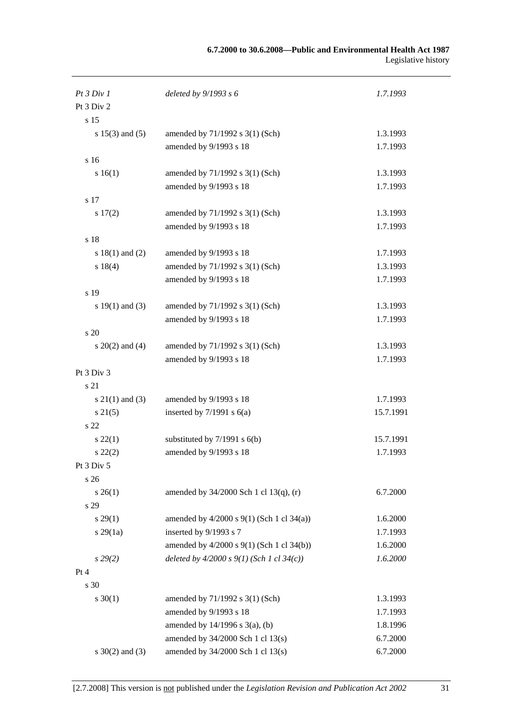| Pt3 Div1            | deleted by $9/1993 s 6$                     | 1.7.1993  |
|---------------------|---------------------------------------------|-----------|
| Pt 3 Div 2          |                                             |           |
| s 15                |                                             |           |
| s $15(3)$ and $(5)$ | amended by 71/1992 s 3(1) (Sch)             | 1.3.1993  |
|                     | amended by 9/1993 s 18                      | 1.7.1993  |
| s 16                |                                             |           |
| s 16(1)             | amended by 71/1992 s 3(1) (Sch)             | 1.3.1993  |
|                     | amended by 9/1993 s 18                      | 1.7.1993  |
| s 17                |                                             |           |
| 17(2)               | amended by 71/1992 s 3(1) (Sch)             | 1.3.1993  |
|                     | amended by 9/1993 s 18                      | 1.7.1993  |
| s 18                |                                             |           |
| s $18(1)$ and $(2)$ | amended by 9/1993 s 18                      | 1.7.1993  |
| s 18(4)             | amended by 71/1992 s 3(1) (Sch)             | 1.3.1993  |
|                     | amended by 9/1993 s 18                      | 1.7.1993  |
| s 19                |                                             |           |
| s $19(1)$ and $(3)$ | amended by 71/1992 s 3(1) (Sch)             | 1.3.1993  |
|                     | amended by 9/1993 s 18                      | 1.7.1993  |
| s 20                |                                             |           |
| $s \ 20(2)$ and (4) | amended by 71/1992 s 3(1) (Sch)             | 1.3.1993  |
|                     | amended by 9/1993 s 18                      | 1.7.1993  |
| Pt 3 Div 3          |                                             |           |
| s 21                |                                             |           |
| $s \ 21(1)$ and (3) | amended by 9/1993 s 18                      | 1.7.1993  |
| $s \, 21(5)$        | inserted by $7/1991$ s $6(a)$               | 15.7.1991 |
| s 22                |                                             |           |
| $s\,22(1)$          | substituted by $7/1991$ s $6(b)$            | 15.7.1991 |
| $s\ 22(2)$          | amended by 9/1993 s 18                      | 1.7.1993  |
| Pt 3 Div 5          |                                             |           |
| s26                 |                                             |           |
| $s \, 26(1)$        | amended by $34/2000$ Sch 1 cl 13(q), (r)    | 6.7.2000  |
| s 29                |                                             |           |
| $s\,29(1)$          | amended by 4/2000 s 9(1) (Sch 1 cl 34(a))   | 1.6.2000  |
| $s\,29(1a)$         | inserted by 9/1993 s 7                      | 1.7.1993  |
|                     | amended by 4/2000 s 9(1) (Sch 1 cl 34(b))   | 1.6.2000  |
| $s\,29(2)$          | deleted by $4/2000 s 9(1)$ (Sch 1 cl 34(c)) | 1.6.2000  |
| Pt 4                |                                             |           |
| s 30                |                                             |           |
| $s \ 30(1)$         | amended by 71/1992 s 3(1) (Sch)             | 1.3.1993  |
|                     | amended by 9/1993 s 18                      | 1.7.1993  |
|                     | amended by $14/1996$ s $3(a)$ , (b)         | 1.8.1996  |
|                     | amended by 34/2000 Sch 1 cl 13(s)           | 6.7.2000  |
|                     |                                             |           |
| $s \ 30(2)$ and (3) | amended by 34/2000 Sch 1 cl 13(s)           | 6.7.2000  |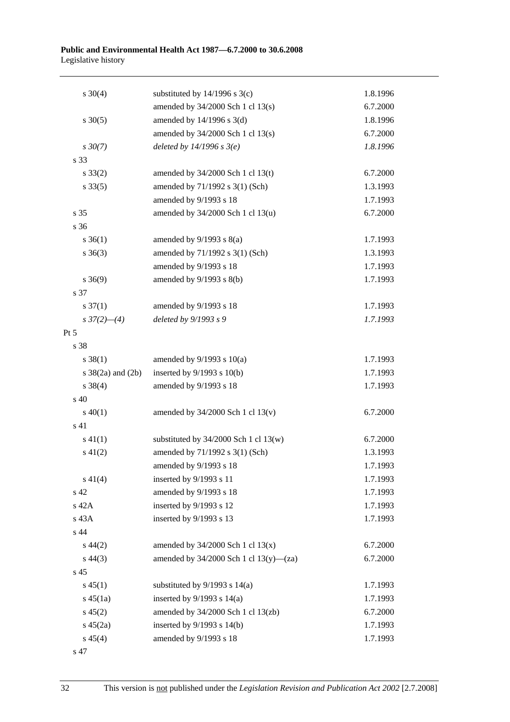| $s \ 30(4)$                  | substituted by $14/1996$ s $3(c)$           | 1.8.1996 |
|------------------------------|---------------------------------------------|----------|
|                              | amended by 34/2000 Sch 1 cl 13(s)           | 6.7.2000 |
| $s \ 30(5)$                  | amended by 14/1996 s 3(d)                   | 1.8.1996 |
|                              | amended by 34/2000 Sch 1 cl 13(s)           | 6.7.2000 |
| $s \, 30(7)$                 | deleted by $14/1996 s 3(e)$                 | 1.8.1996 |
| s 33                         |                                             |          |
| $s \, 33(2)$                 | amended by 34/2000 Sch 1 cl 13(t)           | 6.7.2000 |
| $s \, 33(5)$                 | amended by 71/1992 s 3(1) (Sch)             | 1.3.1993 |
|                              | amended by 9/1993 s 18                      | 1.7.1993 |
| s 35                         | amended by 34/2000 Sch 1 cl 13(u)           | 6.7.2000 |
| s 36                         |                                             |          |
| $s \; 36(1)$                 | amended by $9/1993$ s $8(a)$                | 1.7.1993 |
| $s \; 36(3)$                 | amended by 71/1992 s 3(1) (Sch)             | 1.3.1993 |
|                              | amended by 9/1993 s 18                      | 1.7.1993 |
| $s \; 36(9)$                 | amended by $9/1993$ s $8(b)$                | 1.7.1993 |
| s 37                         |                                             |          |
| $s \frac{37(1)}{2}$          | amended by 9/1993 s 18                      | 1.7.1993 |
| $s \frac{37(2) - (4)}{2}$    | deleted by 9/1993 s 9                       | 1.7.1993 |
| Pt 5                         |                                             |          |
| s 38                         |                                             |          |
| $s \ 38(1)$                  | amended by $9/1993$ s $10(a)$               | 1.7.1993 |
| $s \frac{38}{2a}$ and $(2b)$ | inserted by $9/1993$ s $10(b)$              | 1.7.1993 |
| $s \ 38(4)$                  | amended by 9/1993 s 18                      | 1.7.1993 |
| s 40                         |                                             |          |
| $s\ 40(1)$                   | amended by $34/2000$ Sch 1 cl $13(v)$       | 6.7.2000 |
| s 41                         |                                             |          |
| $s\ 41(1)$                   | substituted by $34/2000$ Sch 1 cl 13(w)     | 6.7.2000 |
| $s\ 41(2)$                   | amended by 71/1992 s 3(1) (Sch)             | 1.3.1993 |
|                              | amended by 9/1993 s 18                      | 1.7.1993 |
| $s\ 41(4)$                   | inserted by 9/1993 s 11                     | 1.7.1993 |
| s 42                         | amended by 9/1993 s 18                      | 1.7.1993 |
| s 42A                        | inserted by 9/1993 s 12                     | 1.7.1993 |
| s 43A                        | inserted by 9/1993 s 13                     | 1.7.1993 |
| s 44                         |                                             |          |
| $s\,44(2)$                   | amended by $34/2000$ Sch 1 cl $13(x)$       | 6.7.2000 |
| $s\,44(3)$                   | amended by $34/2000$ Sch 1 cl $13(y)$ —(za) | 6.7.2000 |
| s <sub>45</sub>              |                                             |          |
| $s\,45(1)$                   | substituted by $9/1993$ s $14(a)$           | 1.7.1993 |
| $s\,45(1a)$                  | inserted by $9/1993$ s $14(a)$              | 1.7.1993 |
| $s\,45(2)$                   | amended by 34/2000 Sch 1 cl 13(zb)          | 6.7.2000 |
| $s\,45(2a)$                  | inserted by $9/1993$ s $14(b)$              | 1.7.1993 |
| $s\,45(4)$                   | amended by 9/1993 s 18                      | 1.7.1993 |

s 47